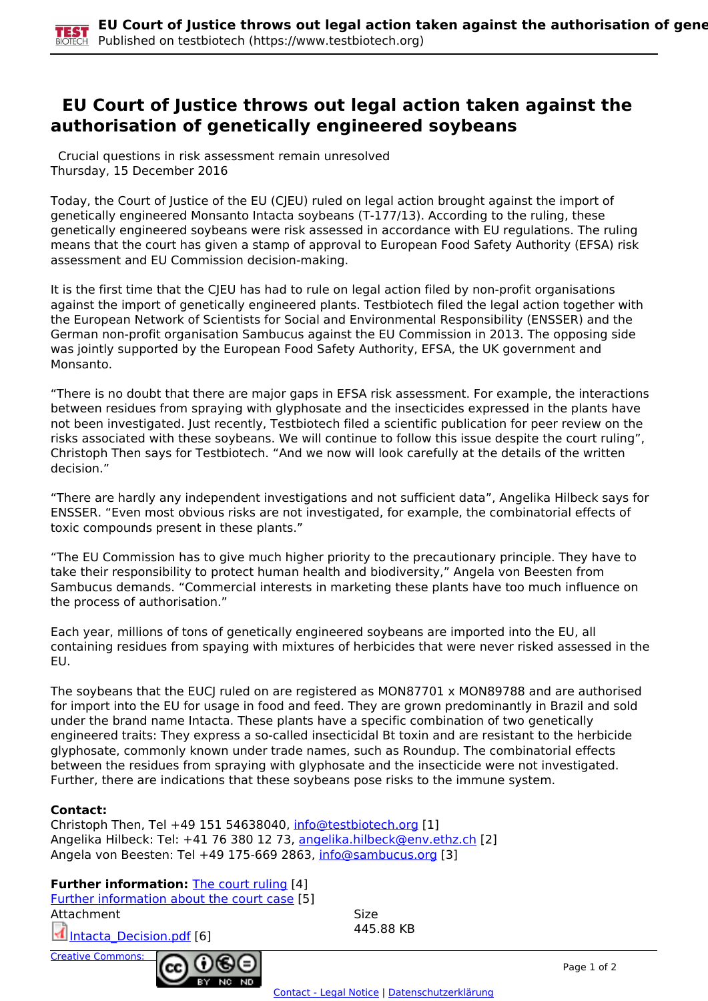## **EU Court of Justice throws out legal action taken against the authorisation of genetically engineered soybeans**

 Crucial questions in risk assessment remain unresolved Thursday, 15 December 2016

Today, the Court of Justice of the EU (CJEU) ruled on legal action brought against the import of genetically engineered Monsanto Intacta soybeans (T-177/13). According to the ruling, these genetically engineered soybeans were risk assessed in accordance with EU regulations. The ruling means that the court has given a stamp of approval to European Food Safety Authority (EFSA) risk assessment and EU Commission decision-making.

It is the first time that the CJEU has had to rule on legal action filed by non-profit organisations against the import of genetically engineered plants. Testbiotech filed the legal action together with the European Network of Scientists for Social and Environmental Responsibility (ENSSER) and the German non-profit organisation Sambucus against the EU Commission in 2013. The opposing side was jointly supported by the European Food Safety Authority, EFSA, the UK government and Monsanto.

"There is no doubt that there are major gaps in EFSA risk assessment. For example, the interactions between residues from spraying with glyphosate and the insecticides expressed in the plants have not been investigated. Just recently, Testbiotech filed a scientific publication for peer review on the risks associated with these soybeans. We will continue to follow this issue despite the court ruling", Christoph Then says for Testbiotech. "And we now will look carefully at the details of the written decision."

"There are hardly any independent investigations and not sufficient data", Angelika Hilbeck says for ENSSER. "Even most obvious risks are not investigated, for example, the combinatorial effects of toxic compounds present in these plants."

"The EU Commission has to give much higher priority to the precautionary principle. They have to take their responsibility to protect human health and biodiversity," Angela von Beesten from Sambucus demands. "Commercial interests in marketing these plants have too much influence on the process of authorisation."

Each year, millions of tons of genetically engineered soybeans are imported into the EU, all containing residues from spaying with mixtures of herbicides that were never risked assessed in the EU.

The soybeans that the EUCJ ruled on are registered as MON87701 x MON89788 and are authorised for import into the EU for usage in food and feed. They are grown predominantly in Brazil and sold under the brand name Intacta. These plants have a specific combination of two genetically engineered traits: They express a so-called insecticidal Bt toxin and are resistant to the herbicide glyphosate, commonly known under trade names, such as Roundup. The combinatorial effects between the residues from spraying with glyphosate and the insecticide were not investigated. Further, there are indications that these soybeans pose risks to the immune system.

## **Contact:**

Christoph Then, Tel +49 151 54638040, [info@testbiotech.org](mailto:info@testbiotech.org) [1] Angelika Hilbeck: Tel: +41 76 380 12 73, angelika.hilbeck@env.ethz.ch [2] Angela von Beesten: Tel +49 175-669 2863, info@sambucus.org [3]

**IND** 

## **Further information:** The court ruling [4]

Further information about the court case [5] Attachment Size Intacta Decision.pdf [6] 445.88 KB